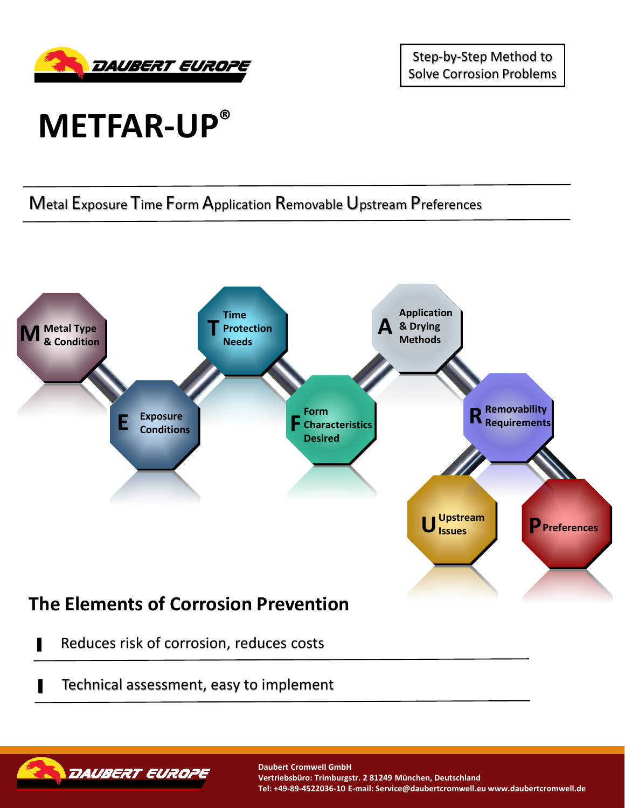

Step-by-Step Method to Solve Corrosion Problems

## **METFAR-UP®**

Metal Exposure Time Form Application Removable Upstream Preferences



- Reduces risk of corrosion, reduces costs
- Technical assessment, easy to implement



**Daubert Cromwell GmbH Vertriebsbüro: Trimburgstr. 2 81249 München, Deutschland Tel: +49-89-4522036-10 E-mail: Service@daubertcromwell.eu www.daubertcromwell.de**